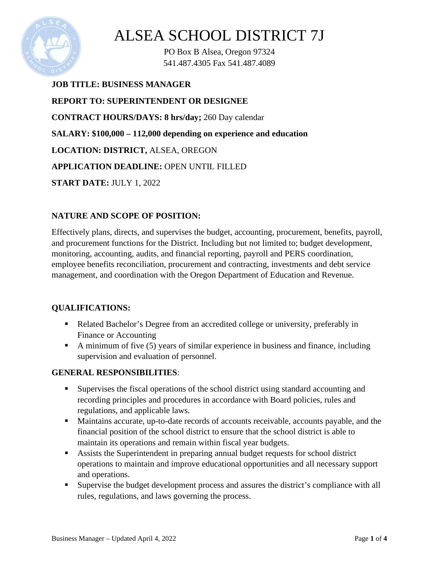

PO Box B Alsea, Oregon 97324 541.487.4305 Fax 541.487.4089

**JOB TITLE: BUSINESS MANAGER REPORT TO: SUPERINTENDENT OR DESIGNEE CONTRACT HOURS/DAYS: 8 hrs/day;** 260 Day calendar **SALARY: \$100,000 – 112,000 depending on experience and education LOCATION: DISTRICT,** ALSEA, OREGON **APPLICATION DEADLINE:** OPEN UNTIL FILLED **START DATE:** JULY 1, 2022

#### **NATURE AND SCOPE OF POSITION:**

Effectively plans, directs, and supervises the budget, accounting, procurement, benefits, payroll, and procurement functions for the District. Including but not limited to; budget development, monitoring, accounting, audits, and financial reporting, payroll and PERS coordination, employee benefits reconciliation, procurement and contracting, investments and debt service management, and coordination with the Oregon Department of Education and Revenue.

### **QUALIFICATIONS:**

- Related Bachelor's Degree from an accredited college or university, preferably in Finance or Accounting
- A minimum of five  $(5)$  years of similar experience in business and finance, including supervision and evaluation of personnel.

### **GENERAL RESPONSIBILITIES**:

- Supervises the fiscal operations of the school district using standard accounting and recording principles and procedures in accordance with Board policies, rules and regulations, and applicable laws.
- Maintains accurate, up-to-date records of accounts receivable, accounts payable, and the financial position of the school district to ensure that the school district is able to maintain its operations and remain within fiscal year budgets.
- Assists the Superintendent in preparing annual budget requests for school district operations to maintain and improve educational opportunities and all necessary support and operations.
- Supervise the budget development process and assures the district's compliance with all rules, regulations, and laws governing the process.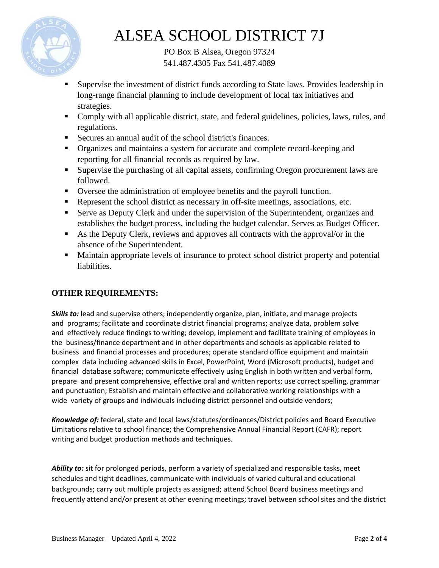

PO Box B Alsea, Oregon 97324 541.487.4305 Fax 541.487.4089

- Supervise the investment of district funds according to State laws. Provides leadership in long-range financial planning to include development of local tax initiatives and strategies.
- Comply with all applicable district, state, and federal guidelines, policies, laws, rules, and regulations.
- Secures an annual audit of the school district's finances.
- Organizes and maintains a system for accurate and complete record-keeping and reporting for all financial records as required by law.
- Supervise the purchasing of all capital assets, confirming Oregon procurement laws are followed.
- Oversee the administration of employee benefits and the payroll function.
- Represent the school district as necessary in off-site meetings, associations, etc.
- Serve as Deputy Clerk and under the supervision of the Superintendent, organizes and establishes the budget process, including the budget calendar. Serves as Budget Officer.
- As the Deputy Clerk, reviews and approves all contracts with the approval/or in the absence of the Superintendent.
- Maintain appropriate levels of insurance to protect school district property and potential liabilities.

### **OTHER REQUIREMENTS:**

*Skills to:* lead and supervise others; independently organize, plan, initiate, and manage projects and programs; facilitate and coordinate district financial programs; analyze data, problem solve and effectively reduce findings to writing; develop, implement and facilitate training of employees in the business/finance department and in other departments and schools as applicable related to business and financial processes and procedures; operate standard office equipment and maintain complex data including advanced skills in Excel, PowerPoint, Word (Microsoft products), budget and financial database software; communicate effectively using English in both written and verbal form, prepare and present comprehensive, effective oral and written reports; use correct spelling, grammar and punctuation; Establish and maintain effective and collaborative working relationships with a wide variety of groups and individuals including district personnel and outside vendors;

*Knowledge of:* federal, state and local laws/statutes/ordinances/District policies and Board Executive Limitations relative to school finance; the Comprehensive Annual Financial Report (CAFR); report writing and budget production methods and techniques.

*Ability to:* sit for prolonged periods, perform a variety of specialized and responsible tasks, meet schedules and tight deadlines, communicate with individuals of varied cultural and educational backgrounds; carry out multiple projects as assigned; attend School Board business meetings and frequently attend and/or present at other evening meetings; travel between school sites and the district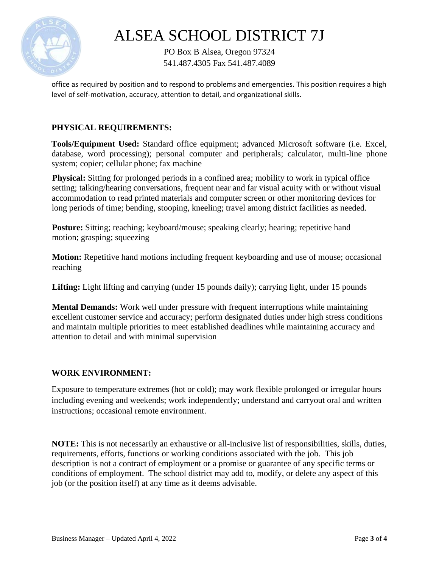

PO Box B Alsea, Oregon 97324 541.487.4305 Fax 541.487.4089

office as required by position and to respond to problems and emergencies. This position requires a high level of self-motivation, accuracy, attention to detail, and organizational skills.

#### **PHYSICAL REQUIREMENTS:**

**Tools/Equipment Used:** Standard office equipment; advanced Microsoft software (i.e. Excel, database, word processing); personal computer and peripherals; calculator, multi-line phone system; copier; cellular phone; fax machine

**Physical:** Sitting for prolonged periods in a confined area; mobility to work in typical office setting; talking/hearing conversations, frequent near and far visual acuity with or without visual accommodation to read printed materials and computer screen or other monitoring devices for long periods of time; bending, stooping, kneeling; travel among district facilities as needed.

**Posture:** Sitting; reaching; keyboard/mouse; speaking clearly; hearing; repetitive hand motion; grasping; squeezing

**Motion:** Repetitive hand motions including frequent keyboarding and use of mouse; occasional reaching

Lifting: Light lifting and carrying (under 15 pounds daily); carrying light, under 15 pounds

**Mental Demands:** Work well under pressure with frequent interruptions while maintaining excellent customer service and accuracy; perform designated duties under high stress conditions and maintain multiple priorities to meet established deadlines while maintaining accuracy and attention to detail and with minimal supervision

#### **WORK ENVIRONMENT:**

Exposure to temperature extremes (hot or cold); may work flexible prolonged or irregular hours including evening and weekends; work independently; understand and carryout oral and written instructions; occasional remote environment.

**NOTE:** This is not necessarily an exhaustive or all-inclusive list of responsibilities, skills, duties, requirements, efforts, functions or working conditions associated with the job. This job description is not a contract of employment or a promise or guarantee of any specific terms or conditions of employment. The school district may add to, modify, or delete any aspect of this job (or the position itself) at any time as it deems advisable.